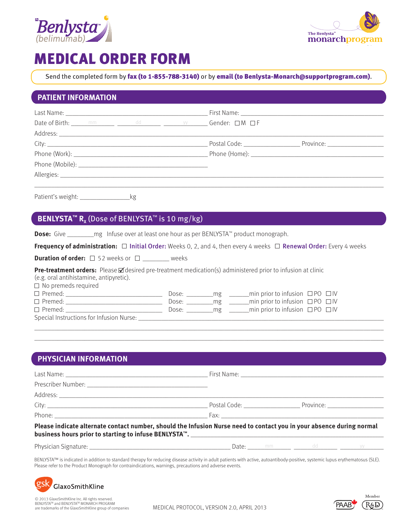



# MEDICAL ORDER FORM

Send the completed form by fax (to 1-855-788-3140) or by email (to Benlysta-Monarch@supportprogram.com).

### **PATIENT INFORMATION**

|                                                                                                                                                                                                                                |  | First Name: ____________________                                                                                                                                                                                                   |                                 |
|--------------------------------------------------------------------------------------------------------------------------------------------------------------------------------------------------------------------------------|--|------------------------------------------------------------------------------------------------------------------------------------------------------------------------------------------------------------------------------------|---------------------------------|
|                                                                                                                                                                                                                                |  | Date of Birth: <u>Many mm and detective detection of the set of Birth:</u> Many mm and detection of the set of the set of the set of the set of the set of the set of the set of the set of the set of the set of the set of the s |                                 |
| Address: Analysis and the state of the state of the state of the state of the state of the state of the state of the state of the state of the state of the state of the state of the state of the state of the state of the s |  |                                                                                                                                                                                                                                    |                                 |
|                                                                                                                                                                                                                                |  | Postal Code: __________________                                                                                                                                                                                                    | Province: <u>______________</u> |
|                                                                                                                                                                                                                                |  |                                                                                                                                                                                                                                    |                                 |
|                                                                                                                                                                                                                                |  |                                                                                                                                                                                                                                    |                                 |
| Allergies:                                                                                                                                                                                                                     |  |                                                                                                                                                                                                                                    |                                 |
|                                                                                                                                                                                                                                |  |                                                                                                                                                                                                                                    |                                 |

Patient's weight: \_\_\_\_\_\_\_\_\_\_\_\_\_\_\_\_\_\_\_\_\_\_kg

## **BENLYSTA™ R<sub>x</sub>** (Dose of BENLYSTA™ is 10 mg/kg)

**Dose:** Give \_\_\_\_\_\_\_\_mg Infuse over at least one hour as per BENLYSTA™ product monograph.

**Frequency of administration:**  $\Box$  Initial Order: Weeks 0, 2, and 4, then every 4 weeks  $\Box$  Renewal Order: Every 4 weeks

**Duration of order:**  $\Box$  52 weeks or  $\Box$  weeks

**Pre-treatment orders:** Please **Ø** desired pre-treatment medication(s) administered prior to infusion at clinic

(e.g. oral antihistamine, antipyretic).

 $\Box$  No premeds required

| $\Box$ Premed:                           | Dose: | mø | _min prior to infusion $\Box$ PO $\Box$ IV |  |
|------------------------------------------|-------|----|--------------------------------------------|--|
| $\Box$ Premed:                           | Dose: | mg | _min prior to infusion $\Box$ PO $\Box$ IV |  |
| $\Box$ Premed:                           | Dose: | mø | min prior to infusion $\Box$ PO $\Box$ IV  |  |
| Special Instructions for Infusion Nurse: |       |    |                                            |  |

### **PHYSICIAN INFORMATION**

| Please indicate alternate contact number, should the Infusion Nurse need to contact you in your absence during normal |  |  |  |  |  |
|-----------------------------------------------------------------------------------------------------------------------|--|--|--|--|--|

\_\_\_\_\_\_\_\_\_\_\_\_\_\_\_\_\_\_\_\_\_\_\_\_\_\_\_\_\_\_\_\_\_\_\_\_\_\_\_\_\_\_\_\_\_\_\_\_\_\_\_\_\_\_\_\_\_\_\_\_\_\_\_\_\_\_\_\_\_\_\_\_\_\_\_\_\_\_\_\_\_\_\_\_\_\_\_\_\_\_\_\_\_\_\_\_\_\_\_\_\_\_\_\_\_ \_\_\_\_\_\_\_\_\_\_\_\_\_\_\_\_\_\_\_\_\_\_\_\_\_\_\_\_\_\_\_\_\_\_\_\_\_\_\_\_\_\_\_\_\_\_\_\_\_\_\_\_\_\_\_\_\_\_\_\_\_\_\_\_\_\_\_\_\_\_\_\_\_\_\_\_\_\_\_\_\_\_\_\_\_\_\_\_\_\_\_\_\_\_\_\_\_\_\_\_\_\_\_\_\_

# **business hours prior to starting to infuse BENLYSTA™.** \_\_\_\_\_\_\_\_\_\_\_\_\_\_\_\_\_\_\_\_\_\_\_\_\_\_\_\_\_\_\_\_\_\_\_\_\_\_\_\_\_\_\_\_\_\_\_\_\_\_\_\_\_\_\_\_\_\_\_\_\_

Physician Signature: \_\_\_\_\_\_\_\_\_\_\_\_\_\_\_\_\_\_\_\_\_\_\_\_\_\_\_\_\_\_\_\_\_\_\_\_\_\_\_\_\_\_\_ Date: \_\_\_\_\_\_\_\_\_\_\_\_\_ \_\_\_\_\_\_\_\_\_\_\_\_\_ \_\_\_\_\_\_\_\_\_\_\_\_\_

BENLYSTA™ is indicated in addition to standard therapy for reducing disease activity in adult patients with active, autoantibody-positive, systemic lupus erythematosus (SLE). Please refer to the Product Monograph for contraindications, warnings, precautions and adverse events.